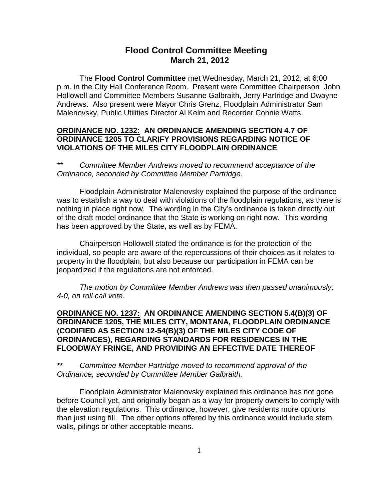# **Flood Control Committee Meeting March 21, 2012**

The **Flood Control Committee** met Wednesday, March 21, 2012, at 6:00 p.m. in the City Hall Conference Room. Present were Committee Chairperson John Hollowell and Committee Members Susanne Galbraith, Jerry Partridge and Dwayne Andrews. Also present were Mayor Chris Grenz, Floodplain Administrator Sam Malenovsky, Public Utilities Director Al Kelm and Recorder Connie Watts.

#### **ORDINANCE NO. 1232: AN ORDINANCE AMENDING SECTION 4.7 OF ORDINANCE 1205 TO CLARIFY PROVISIONS REGARDING NOTICE OF VIOLATIONS OF THE MILES CITY FLOODPLAIN ORDINANCE**

*\*\* Committee Member Andrews moved to recommend acceptance of the Ordinance, seconded by Committee Member Partridge.*

Floodplain Administrator Malenovsky explained the purpose of the ordinance was to establish a way to deal with violations of the floodplain regulations, as there is nothing in place right now. The wording in the City's ordinance is taken directly out of the draft model ordinance that the State is working on right now. This wording has been approved by the State, as well as by FEMA.

Chairperson Hollowell stated the ordinance is for the protection of the individual, so people are aware of the repercussions of their choices as it relates to property in the floodplain, but also because our participation in FEMA can be jeopardized if the regulations are not enforced.

*The motion by Committee Member Andrews was then passed unanimously, 4-0, on roll call vote.* 

#### **ORDINANCE NO. 1237: AN ORDINANCE AMENDING SECTION 5.4(B)(3) OF ORDINANCE 1205, THE MILES CITY, MONTANA, FLOODPLAIN ORDINANCE (CODIFIED AS SECTION 12-54(B)(3) OF THE MILES CITY CODE OF ORDINANCES), REGARDING STANDARDS FOR RESIDENCES IN THE FLOODWAY FRINGE, AND PROVIDING AN EFFECTIVE DATE THEREOF**

## **\*\*** *Committee Member Partridge moved to recommend approval of the Ordinance, seconded by Committee Member Galbraith.*

Floodplain Administrator Malenovsky explained this ordinance has not gone before Council yet, and originally began as a way for property owners to comply with the elevation regulations. This ordinance, however, give residents more options than just using fill. The other options offered by this ordinance would include stem walls, pilings or other acceptable means.